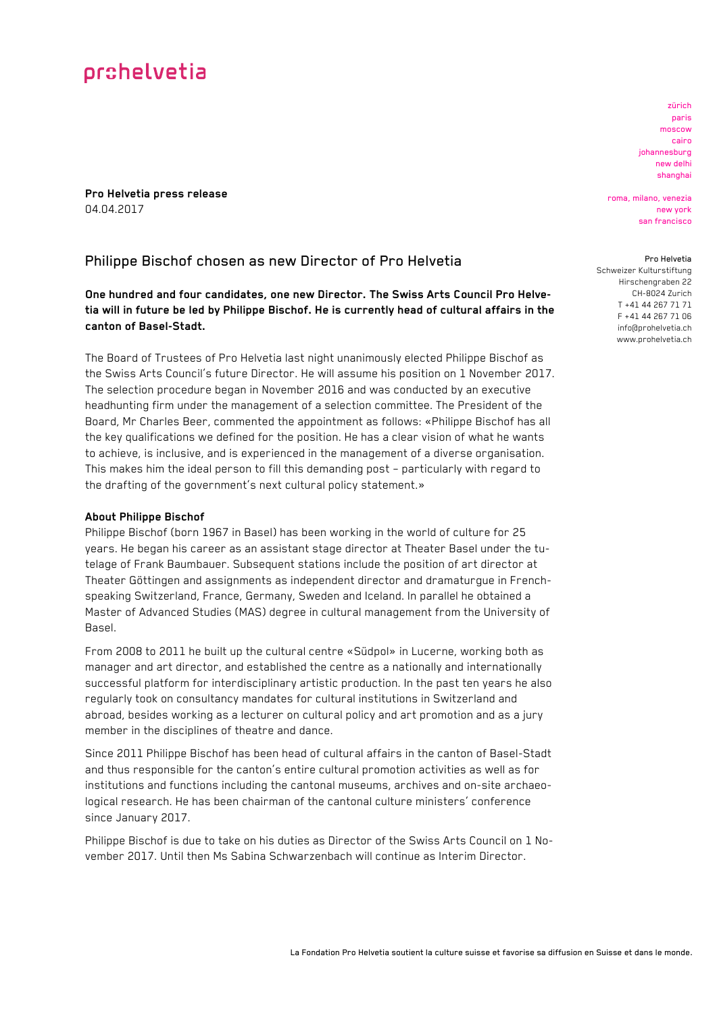## orchelvetia

**Pro Helvetia press release**  04.04.2017

## Philippe Bischof chosen as new Director of Pro Helvetia

**One hundred and four candidates, one new Director. The Swiss Arts Council Pro Helvetia will in future be led by Philippe Bischof. He is currently head of cultural affairs in the canton of Basel-Stadt.** 

The Board of Trustees of Pro Helvetia last night unanimously elected Philippe Bischof as the Swiss Arts Council's future Director. He will assume his position on 1 November 2017. The selection procedure began in November 2016 and was conducted by an executive headhunting firm under the management of a selection committee. The President of the Board, Mr Charles Beer, commented the appointment as follows: «Philippe Bischof has all the key qualifications we defined for the position. He has a clear vision of what he wants to achieve, is inclusive, and is experienced in the management of a diverse organisation. This makes him the ideal person to fill this demanding post – particularly with regard to the drafting of the government's next cultural policy statement.»

### **About Philippe Bischof**

Philippe Bischof (born 1967 in Basel) has been working in the world of culture for 25 years. He began his career as an assistant stage director at Theater Basel under the tutelage of Frank Baumbauer. Subsequent stations include the position of art director at Theater Göttingen and assignments as independent director and dramaturgue in Frenchspeaking Switzerland, France, Germany, Sweden and Iceland. In parallel he obtained a Master of Advanced Studies (MAS) degree in cultural management from the University of Basel.

From 2008 to 2011 he built up the cultural centre «Südpol» in Lucerne, working both as manager and art director, and established the centre as a nationally and internationally successful platform for interdisciplinary artistic production. In the past ten years he also regularly took on consultancy mandates for cultural institutions in Switzerland and abroad, besides working as a lecturer on cultural policy and art promotion and as a jury member in the disciplines of theatre and dance.

Since 2011 Philippe Bischof has been head of cultural affairs in the canton of Basel-Stadt and thus responsible for the canton's entire cultural promotion activities as well as for institutions and functions including the cantonal museums, archives and on-site archaeological research. He has been chairman of the cantonal culture ministers' conference since January 2017.

Philippe Bischof is due to take on his duties as Director of the Swiss Arts Council on 1 November 2017. Until then Ms Sabina Schwarzenbach will continue as Interim Director.

zürich paris moscow cairo johannesburg new delhi shanghai

roma, milano, venezia new york san francisco

#### Pro Helvetia

Schweizer Kulturstiftung Hirschengraben 22 CH-8024 Zurich T +41 44 267 71 71 F +41 44 267 71 06 info@prohelvetia.ch www.prohelvetia.ch